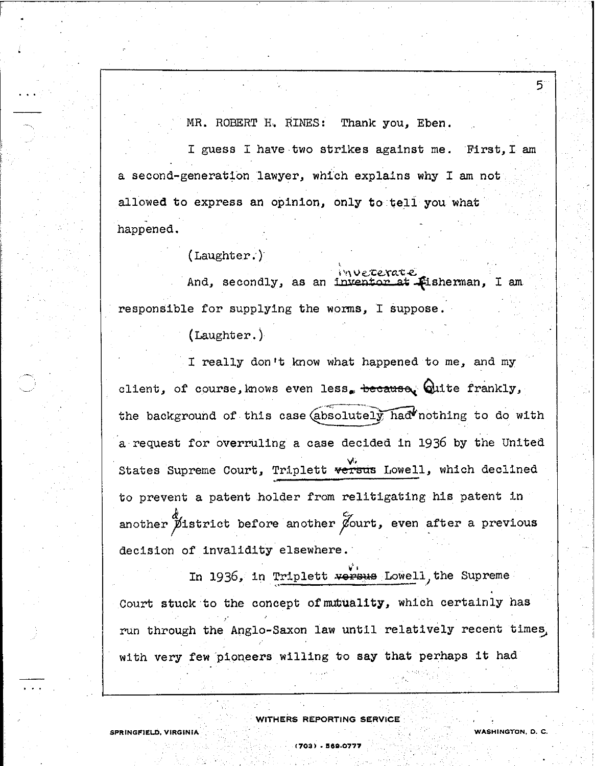MR. ROBERT H. RINES: Thank you, Eben.

5

**WASHINGTON, D. C.**

I guess I have two strikes against me. First, I am a second-generation lawyer, which explains why I am not allowed to express an opinion, only to tell you what .. happened.

(Laughter. )

And, secondly, as an inventor at Fisherman, I am <sup>i</sup> '" v e.:c~xc.:t *e:* responsible for supplying the worms, I suppose.

(Laughter. )

I really don't know what happened to me, and my client, of course, knows even less. because. Quite frankly, the background of this case  $(absolutely~had'$ nothing to do with a request for overruling a case decided in 1936 by the United States Supreme Court, Triplett versus Lowell, which declined to prevent a patent holder from relitigating his patent in another  $\cancel{p}$ istrict before another  $\cancel{p}$ ourt, even after a previous decision of invalidity elsewhere.

In 1936, in Triplett versus Lowell, the Supreme Court stuck to the concept of mutuality, which certainly has run through the Anglo-Saxon law until relatively recent times. with very few pioneers willing to say that perhaps it had

WITHERS REPORTING SERVICE

**(703) . !J88.0777**

**SPRINGFIELD, VIRGINIA**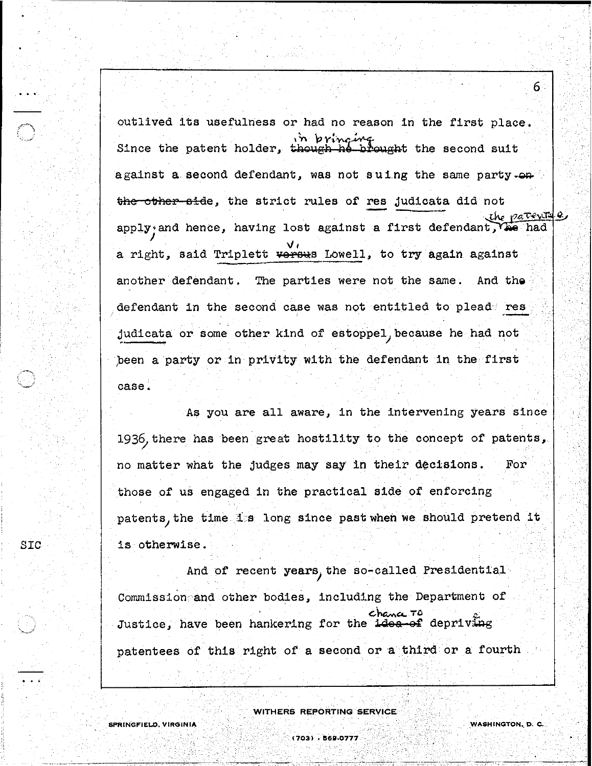outlived its usefulness or had no reason in the first place. in pringing in thought the second suit against a second defendant, was not suing the same party. $\bullet$ the other side, the strict rules of res judicata did not the patents e apply' and ) a right, said Triplett <del>versu</del>s Lowell, to try again against another defendant. The parties were not the same. And the defendant in the second case was not entitled to plead res judicata or some other kind of estoppel because he had not peen a party or in privity with the defendant in the first case.

As you are all aware, in the intervening years since 1936, there has been great hostility to the concept of patents, no matter what the judges may say in their decisions. For those of us engaged in the practical side of enforcing patents, the time is long since past when we should pretend it is otherwise.

And of recent years) the so-called Presidential· Commission and other bodies, including the Department of  $char$  TO Justice, have been hankering for the idea-of depriving patentees of this right of a second or a third or a fourth

WITHERS REPORTING SERVICE

SPRINGFIELD, VIRGINIA

SIC

.. .

**WASHINGTON.. D, C.**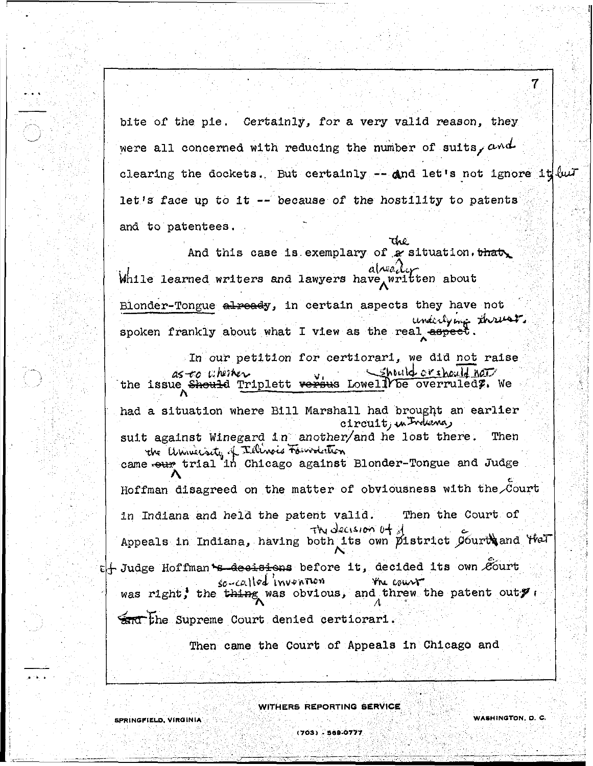bite of the pie. Certainly, for a very valid reason, they were all concerned with reducing the number of suits,  $\alpha \wedge d$ clearing the dockets. But certainly  $-$  and let's not ignore it  $\ell\omega$ . let's face up to it  $-$  because of the hostility to patents and to patentees.

And this case is exemplary of a situation. that بالمصمام While learned writers and lawyers have written about Blonder-Tongue already, in certain aspects they have not underlying threes

spoken frankly about what I view as the real aspect.

In our petition for certiorari, we did not raise Shtuld or should not as-to uheiker the issue Should Triplett versus Lowell be overruled?. We had a situation where Bill Marshall had brought an earlier circuit, in Indiana, suit against Winegard in another/and he lost there. Then the University of Tillinois Foundation<br>came sour trial in Chicago against Blonder-Tongue and Judge Hoffman disagreed on the matter of obviousness with the Court Then the Court of in Indiana and held the patent valid. The decision of of Appeals in Indiana, having both its own pistrict Courts and that t+ Judge Hoffman S decisions before it, decided its own Court  $sc\leftarrow$ called invention Yhe cours was right, the thing was obvious, and threw the patent outy

and the Supreme Court denied certiorari.

SPRINGFIELD, VIRGINIA

Then came the Court of Appeals in Chicago and

WITHERS REPORTING SERVICE

7

(703) - 569-0777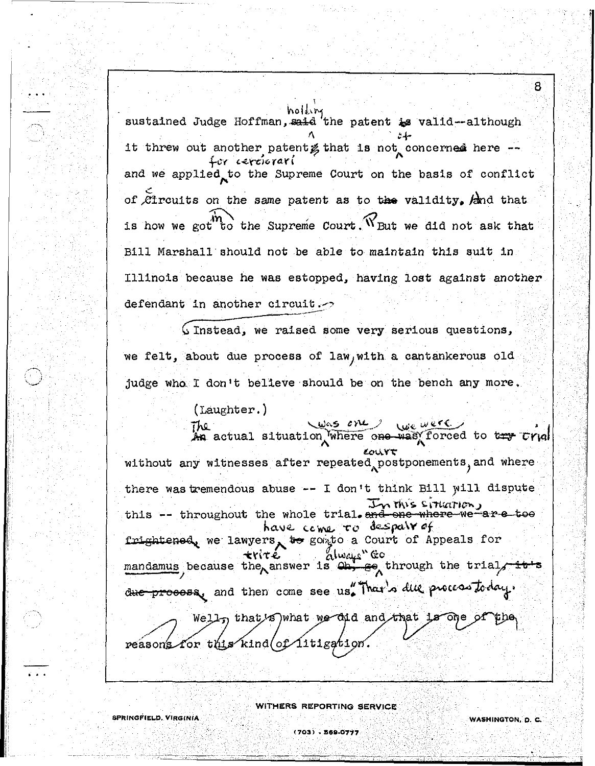holding sustained Judge Hoffman, said the patent is valid--although it threw out another patent gthat is not concerned here -for cerciorari and we applied to the Supreme Court on the basis of conflict of *C*ircuits on the same patent as to the validity, and that is how we got to the Supreme Court. W But we did not ask that Bill Marshall should not be able to maintain this suit in Illinois because he was estopped, having lost against another defendant in another circuit.

Ginstead, we raised some very serious questions, we felt, about due process of law, with a cantankerous old judge who I don't believe should be on the bench any more.

 $(\text{Laughter.})$ 

was one we're

An actual situation where one was forced to try Urial ourt without any witnesses after repeated postponements, and where there was tremendous abuse -- I don't think Bill will dispute this -- throughout the whole trial. In this situation, have come to despair of frightened, we lawyers, to gomto a Court of Appeals for せいても alwajs" mandamus because the answer is  $\omega$ , ee through the trial, due process, and then come see us. That's due process today.

Well, that's what we did and that is one reasons for this kind of litigation.

SPRINGFIELD, VIRGINIA

WITHERS REPORTING SERVICE

(703) - 569-0777

WASHINGTON, D. C.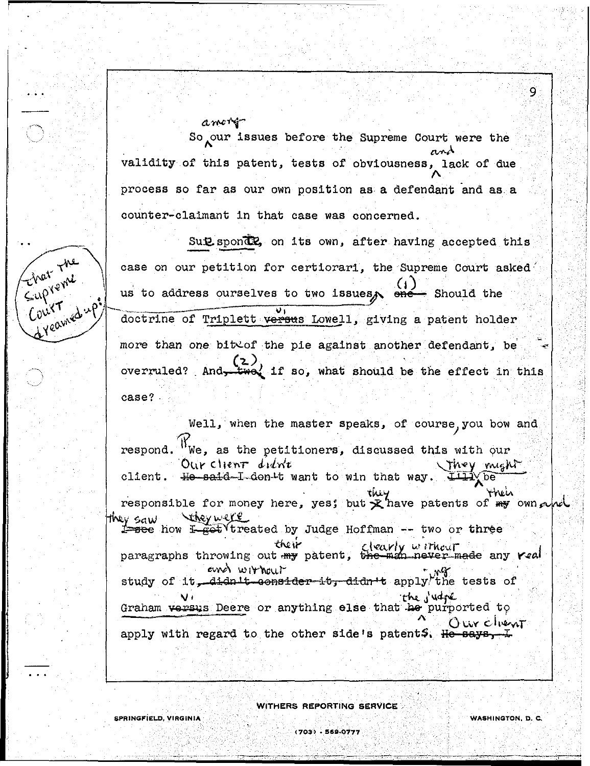amori So our issues before the Supreme Court were the validity of this patent, tests of obviousness, lack of due process so far as our own position as a defendant and as a counter-claimant in that case was concerned.

Sut spond? on its own, after having accepted this case on our petition for certiorari, the Supreme Court asked us to address ourselves to two issues, ene- Should the doctrine of Triplett versus Lowell, giving a patent holder more than one bite of the pie against another defendant, be <u>ູ</u> 2 ) overruled? And two if so, what should be the effect in this case?

Well, when the master speaks, of course you bow and  $W_{\text{We}}$ , as the petitioners, discussed this with our respond. Our client didn't They might client. He said-I-don't want to win that way. ′be` rneh responsible for money here, yest but  $\mathcal{R}$  have patents of  $\mathbb{R}$  own  $\sim$ Vereywere they saw 1 see how I got treated by Judge Hoffman -- two or three **Their** paragraphs throwing out  $\frac{t}{m}$  patent, the man never made any real and without study of it, didn't consider it, didn't apply the tests of the judge Graham versus Deere or anything else that he purported to Our chent apply with regard to the other side's patents. He says, I

WITHERS REPORTING SERVICE

 $(703) - 569.0777$ 

Einer The

Court

d yeamed up

ğ.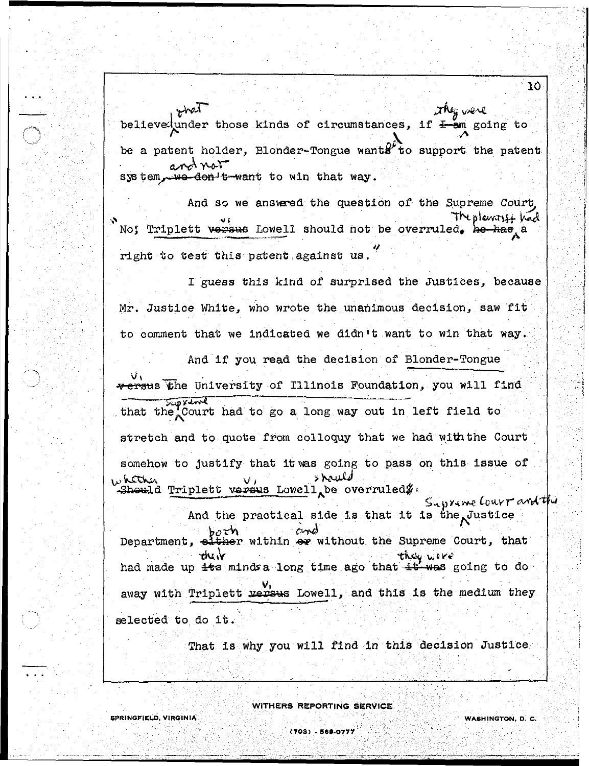~v",~ *,* kinds of circumstances, if  $\overline{f}$  am going to  $\bigwedge$ be a patent holder, Blonder-Tongue wants to support the patent  $\sum_{k=1}^{n}$  $r^{\text{val}}$ believedunder those  $\alpha$  $\sim$   $\lambda \sim$ sys tem, we don't want to win that way.

And so we answered the question of the Supreme Court No; Triplett versus Lowell should not be overruled. he has a right to test this patent against us.

I guess this kind of surprised the Justices, because Mr. Justice White, who wrote the unanimous decision, saw fit to comment that we indicated we didn't want to win that way. And if you read the decision of Blonder-Tongue **V, versus the University of Illinois Foundation, you will find** 

that the Court had to go a long way out in left field to stretch and to quote from colloquy that we had with the Court somehow to justify that it vas going to pass on this issue of  $\nu$  hether hether volus brands had the term of the state of the should should in the should of the should of the should s

r,; '.-.\, *y",* (.Ol.\.y *t"* I.i And the practical side is that it is the Justice both and without the Supreme Court, that  $\mathbf{r}$  the  $\mathbf{v}$ oither within or without the Supreme<br>they wave they wire<br>had made up its minds a long time ago that it was going to do away with Triplett versus Lowell, and this is the medium they selected to do it.

That is why you will find in this decision Justice

- ..

(703) - 569-0777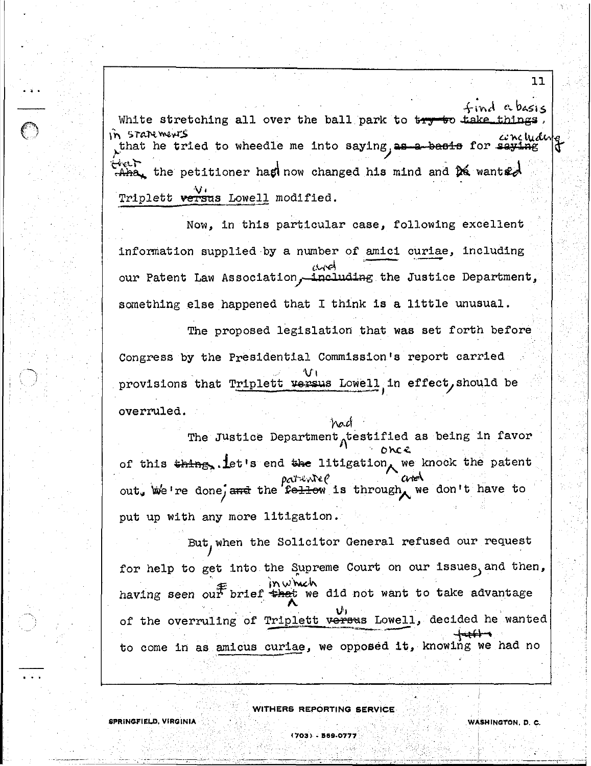find abasis White stretching all over the ball park to try to take things concluding In STANE ments that he tried to wheedle me into saying, as a basis for saying Elect  $A$ ha, the petitioner has now changed his mind and  $A$  wants. Triplett versus Lowell modified.

11

WASHINGTON, D. C.

Now, in this particular case, following excellent information supplied by a number of amici curiae, including أجهرن our Patent Law Association, including the Justice Department, something else happened that I think is a little unusual.

The proposed legislation that was set forth before Congress by the Presidential Commission's report carried provisions that Triplett versus Lowell in effect, should be overruled.

The Justice Department testified as being in favor once of this thing, let's end the litigation, we knock the patent  $p$ cit-l $\vee$ ite $\ell$ out, we're done, and the fellow is through we don't have to put up with any more litigation.

had

But, when the Solicitor General refused our request for help to get into the Supreme Court on our issues, and then, inwhich having seen our brief that we did not want to take advantage of the overruling of Triplett versus Lowell, decided he wanted to come in as amicus curiae, we opposed it, knowing we had no

WITHERS REPORTING SERVICE

(703) - 569-0777

SPRINGFIELD, VIRGINIA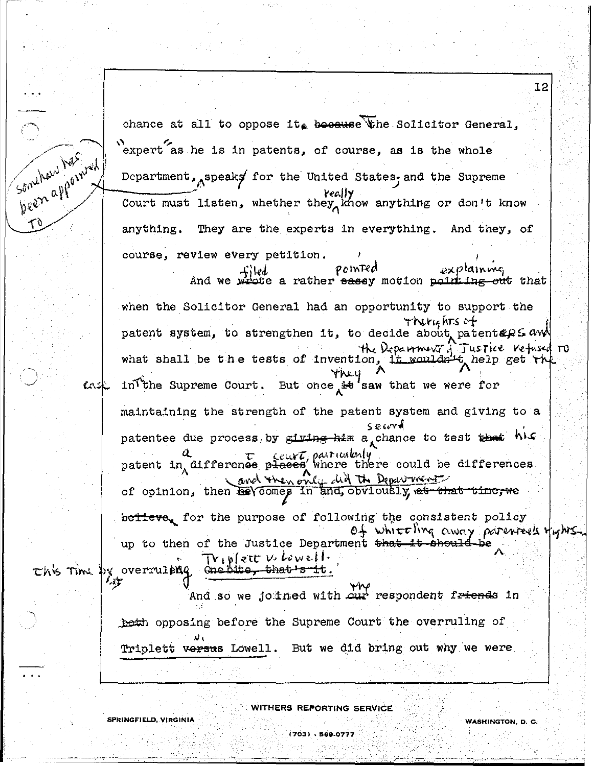12 chance at all to oppose it. because the Solicitor General, Somehow has need expert as he is in patents, of course, as is the whole Department, speaks for the United States, and the Supreme Court must listen, whether they know anything or don't know anything. They are the experts in everything. And they, of course, review every petition. pointed <sub>explainne,</sub> ete a rather sassy motion point ing out that And we w when the Solicitor General had an opportunity to support the Therights of patent system, to strengthen it, to decide about patentses aw what shall be the tests of invention, it wouldn't help get the But once  $A + b$  saw that we were for intthe Supreme Court. ていらし maintaining the strength of the patent system and giving to a  $S$ ecord patentee due process by giving him a chance to test that his  $a$   $\tau$  ceurt, particularly<br>patent in difference places where there could be differences and then only did the Department of opinion, then he comes in and, obviously, at that time, we believe, for the purpose of following the consistent policy of white ling away parentees fights up to then of the Justice Department <del>that it should be</del> Triplett V. Lowell. this Time by overruiting one bits, that s it. لاً ⊶′ And so we joined with our respondent friends in beth opposing before the Supreme Court the overruling of Triplett versus Lowell. But we did bring out why we were

WITHERS REPORTING SERVICE

(703) - 569-0777

SPRINGFIELD, VIRGINIA

**WASHINGTON, D. C.**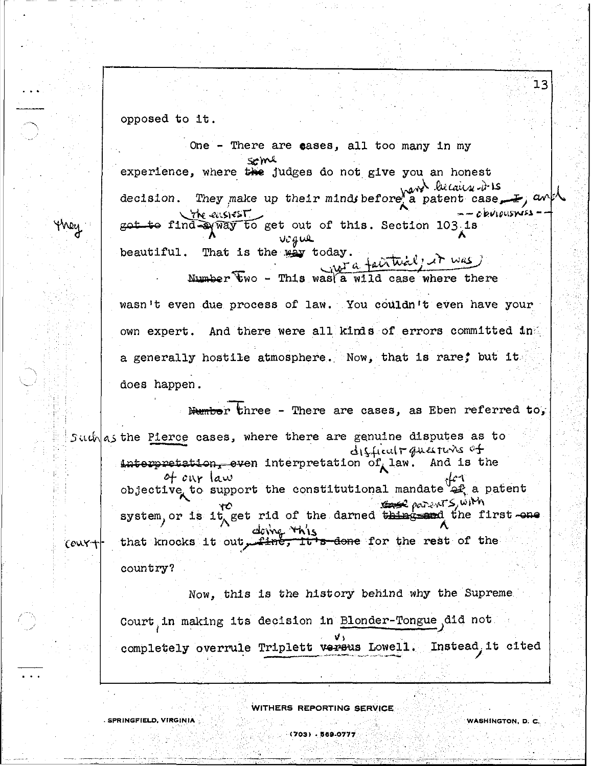opposed to it.

**SPRINGFIELD, VIRGINIA** 

they

One - There are cases, all too many in my seme experience, where the judges do not give you an honest They make up their minds before a patent case a patent case by ant decision. the ensiest  $-$  c pulpusyess got to find a way to get out of this. Section 103 is Vigue beautiful. That is the way today. Number Fwo - This was a wild case where there

 $13$ 

WASHINGTON, D. C.

wasn't even due process of law. You couldn't even have your own expert. And there were all kinds of errors committed in a generally hostile atmosphere. Now, that is rare; but it. does happen.

Humber three - There are cases, as Eben referred to, Such as the Pierce cases, where there are genuine disputes as to disficult questions of interpretation, even interpretation of law. And is the of our law objective to support the constitutional mandate af a patent Report S, WIM system, or is it get rid of the darned thing and the first one that knocks it out find this done for the rest of the court country?

> Now, this is the history behind why the Supreme Court in making its decision in Blonder-Tongue did not completely overrule Triplett versus Lowell. Instead, it cited

> > WITHERS REPORTING SERVICE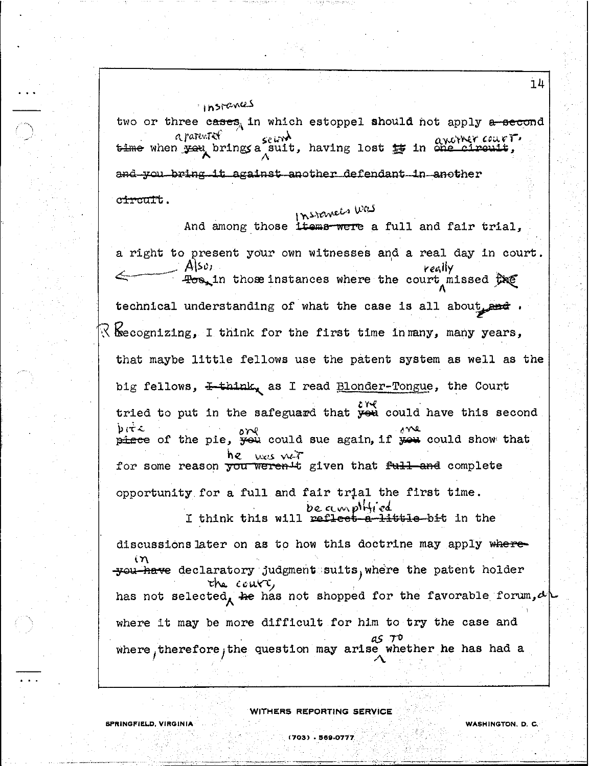two or three cases, in which estoppel should not apply a second a parenter a pare of the search and the search of the country.<br>bime when you brings a suit, having lost to in one circuit, and you bring it against another defendant in another c<del>ircul</del>'t.

insianus

## Instances was

And among those items were a full and fair trial, a right to present your own witnesses and a real day in court. Alsoi really  $\exists$ os, in those instances where the court missed  $\hat{\theta}$ xe technical understanding of what the case is all about and  $\mathbb R$  kecognizing, I think for the first time in many, many years, that maybe little fellows use the patent system as well as the big fellows, I-think, as I read Blonder-Tongue, the Court tried to put in the safeguard that  $\frac{\partial V}{\partial x}$  could have this second  $b$  it  $c$  $p$ <sub>r</sub>  $p$ <sup>2</sup>  $p$ <sup>2</sup>  $p$ <sup>2</sup>  $p$ <sup>2</sup>  $p$ <sup>2</sup>  $p$ <sup>2</sup>  $p$ <sup>2</sup>  $p$ <sup>2</sup>  $p$ <sup>2</sup>  $p$ <sup>2</sup>  $p$ <sup>2</sup>  $p$ <sup>2</sup>  $p$ <sup>2</sup>  $p$ <sup>2</sup>  $p$ <sup>2</sup>  $p$ <sup>2</sup>  $p$ <sup>2</sup>  $p$ <sup>2</sup>  $p$ <sup>2</sup>  $p$ <sup>2</sup>  $p$ <sup>2</sup>  $p$ <sup>2</sup>  $p$ <sup>2</sup>  $p$ <sup>2</sup>  $p$ <sup>2</sup>  $p$ <sup>2</sup>  $p$ <sup>2</sup>  $p$ <sup>2</sup>  $p$ <sup>2</sup>  $p$ <sup>2</sup>  $p$ <sup></sup> was vert he. for some reason you weren t given that full and complete opportunity for a full and fair trial the first time. be amplified I think this will reflect a little bit in the

discussions later on as to how this doctrine may apply where- $\mathbf{\hat{m}}$ you have declaratory judgment suits, where the patent holder the court, has not selected, he has not shopped for the favorable forum,  $\alpha$ where it may be more difficult for him to try the case and where therefore, the question may arise whether he has had a

WITHERS REPORTING SERVICE

WASHINGTON, D. C.

 $14$ 

SPRINGFIELD, VIRGINIA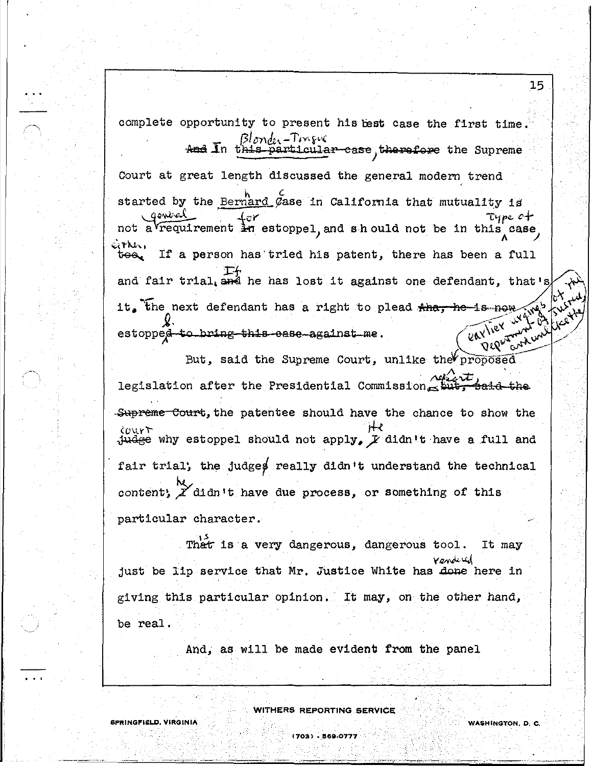eitht.,<br>too<sub>d</sub> If a person has tried his patent, there has been a full complete opportunity to present his best case the first time. Blonde<sup>r-Trage</sup>'''<br>And In this particular-case, therefore the Supreme Court at great length discussed the general modern trend started by the Bernard Case in California that mutuality is gewed for<br>not a requirement in estoppel, and sh ould not be in this case If<br>and fair trial, and he has lost it against one defendant, that's it. the next defendant has a right to plead  $\frac{4h}{h}$ , he is now  $\int_{\mathbb{R}^N}$  estopped to bring this ease against me estopped to bring this ease-against me.  $(2\kappa')^{\nu}$   $(2\kappa')^{\nu}$ 

15

But, said the Supreme Court, unlike the proposed legislation after the Presidential Commission  $\frac{\lambda_1\lambda_2\lambda_1}{\text{sub}}$  said the  $\frac{Supereme-Court, the pattern tree should have the chance to show the  $\frac{1}{2}$ .$  $i$ <sub>U</sub> it all the stoppel should not apply,  $\overline{F}$  didn't have a full and fair trial; the judges really didn't understand the technical content,  $\chi$  didn't have due process, or something of this particular character.

That is a very dangerous, dangerous tool. It may Yenderd<br>just be lip service that Mr. Justice White has done here in giving this particular opinion. It may, on the other hand, be real.

And, as will be made evident from the panel

,

WITHERS REPORTING SERVICE

**(703) . 868.0777**

**SPRINGFI£LD. VIRGINIA, WASHINGTON, D. C.**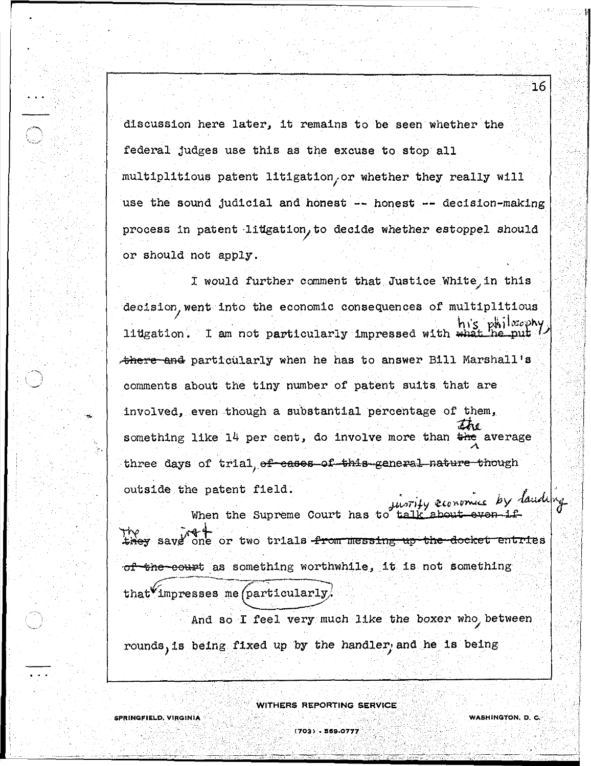discussion here later, it remains to be seen whether the federal judges use this as the excuse to stop all multiplitious patent litigation/or whether they really will use the sound judicial and honest -- honest **--** decision-making process in patent litigation, to decide whether estoppel should or should not apply.

I would further comment that Justice White in this decision, went into the economic consequences of multiplitious<br>- his r¥. idigation. I am not particularly impressed with what he put litigation. I am not particularly impressed with w ~here ana particularly when he has to answer Bill Marshall's comments about the tiny number of patent suits that are involved, even though a substantial percentage of them, something like  $14$  per cent, do involve more than  $\frac{1}{4}$  average three days of trial ef eases of this general nature though outside the patent field. • *t* limits  $f_{11}$ 

J-I-;"",iJ.y *e,o* ",~ti *by'* o!4U '''t When the Supreme Court has to talk about even if TY.<br><del>They</del> save one or two trials from messing up the docket entries of the court as something worthwhile, it is not something that impresses me (particularly).

And so I feel very much like the boxer who between

rounds)is being fixed up by the handler; and he is being

**SPRINGFIELD, VIRGINIA**  $\mathscr{M}(\mathbb{C}[\mathbb{C}[\mathbb{C}[\mathbb{C}[\mathbb{C}[\mathbb{C}[\mathbb{C}[\mathbb{C}[\mathbb{C}[\mathbb{C}[\mathbb{C}[\mathbb{C}[\mathbb{C}[\mathbb{C}[\mathbb{C}[\mathbb{C}[\mathbb{C}[\mathbb{C}[\mathbb{C}[\mathbb{C}[\mathbb{C}[\mathbb{C}[\mathbb{C}[\mathbb{C}[\mathbb{C}[\mathbb{C}[\mathbb{C}[\mathbb{C}[\mathbb{C}[\mathbb{C}[\mathbb{C}[\mathbb{C$ 

WITHERS REPORTING SERVICE

(703) - 569-0777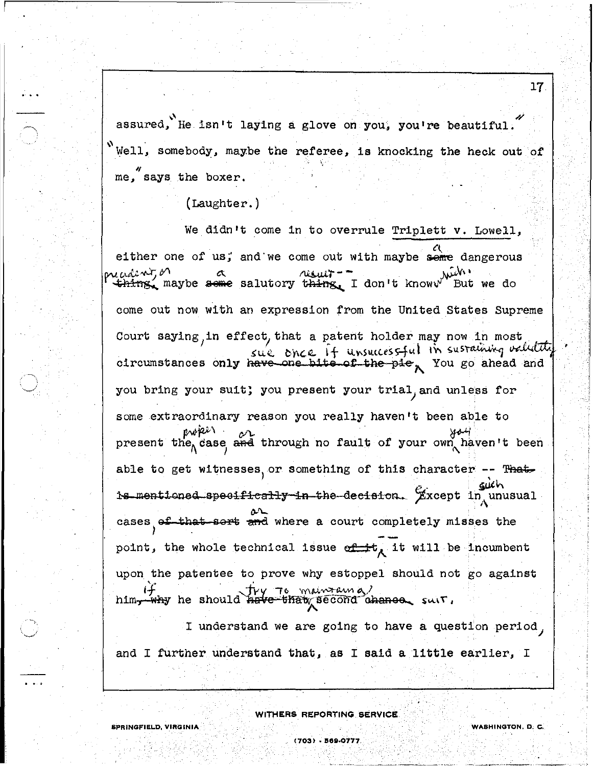assured, He isn't laying a glove on you, you're beautiful. Well, somebody, maybe the referee, is knocking the heck out of me, says the boxer.

 $(Laughter.)$ 

We didn't come in to overrule Triplett v. Lowell, either one of us; and we come out with maybe seme dangerous oreadent, or thing, maybe seme salutory thing, I don't knoww But we do come out now with an expression from the United States Supreme Court saying, in effect, that a patent holder may now in most sue once if unsuccessful in sustaining validate circumstances only have one bite of the pie, You go ahead and you bring your suit; you present your trial, and unless for some extraordinary reason you really haven't been able to evikir present the case and through no fault of your own haven't been able to get witnesses, or something of this character -- That such is mentioned specifically in the decision. Except in unusual cases of that sort and where a court completely misses the point, the whole technical issue  $\sigma$  it will be incumbent upon the patentee to prove why estoppel should not go against Try To maintain a/ why he should have that second ahance suit. him-

I understand we are going to have a question period, and I further understand that, as I said a little earlier, I

WITHERS REPORTING SERVICE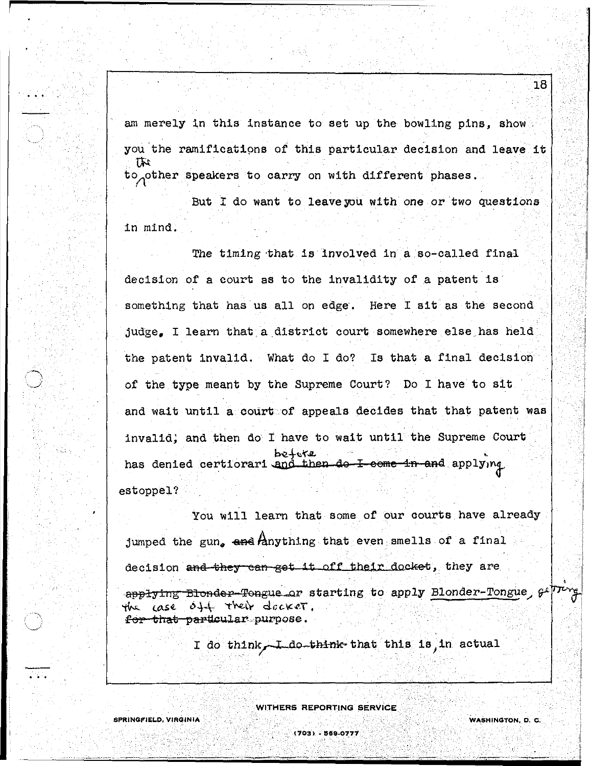am merely in this instance to set up the bowling pins, show you the ramifications of this particular decision and leave it to other speakers to carry on with different phases.

But I do want to leave you with one or two questions in mind.

The timing that is involved in a so-called final decision of a court as to the invalidity of a patent is something that has us all on edge. Here I sit as the second judge. I learn that a district court somewhere else has held the patent invalid. What do I do? Is that a final decision of the type meant by the Supreme Court? Do I have to sit and wait until a court of appeals decides that that patent was invalid; and then do I have to wait until the Supreme Court betore has denied certiorari and then do I-come in and applying estoppel?

You will learn that some of our courts have already jumped the gun, and lanything that even smells of a final decision and they can get it off their docket, they are applying Blonder-Tongue or starting to apply Blonder-Tongue,  $\mathcal{F}$ the case off their docker.

for that particular purpose.

**SPRINGFIELD, VIRGINIA** 

I do think, I do think that this is in actual

**WITHERS REPORTING SERVICE** 

(703) - 569-0777

WASHINGTON, D. C.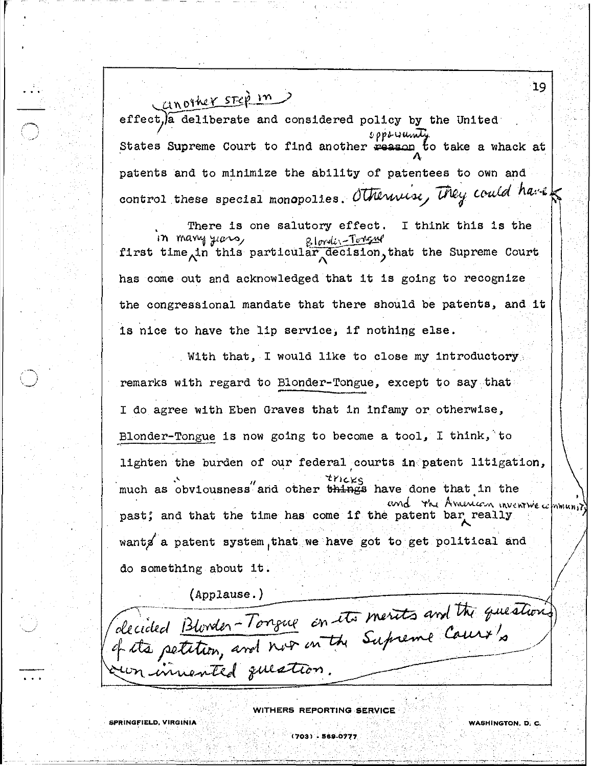Canother step in effect, a deliberate and considered policy by the United opporumity States Supreme Court to find another reason to take a whack at patents and to minimize the ability of patentees to own and control these special monopolies. Otherwise, They could have

There is one salutory effect. I think this is the in many years, <u>Blondin-Tongme</u> first time in this particular decision, that the Supreme Court has come out and acknowledged that it is going to recognize the congressional mandate that there should be patents, and it is nice to have the lip service, if nothing else.

With that, I would like to close my introductory. remarks with regard to Blonder-Tongue, except to say that I do agree with Eben Graves that in infamy or otherwise, Blonder-Tongue is now going to become a tool, I think, to lighten the burden of our federal courts in patent litigation, much as obviousness and other things have done that in the and the American inventive community past; and that the time has come if the patent bar really wants a patent system, that we have got to get political and do something about it.

 $(\text{Applause.})$ 

decided Blooder-Tongue on its merits and the question innented question.

WITHERS REPORTING SERVICE

**SPRINGFIELD, VIRGINIA**